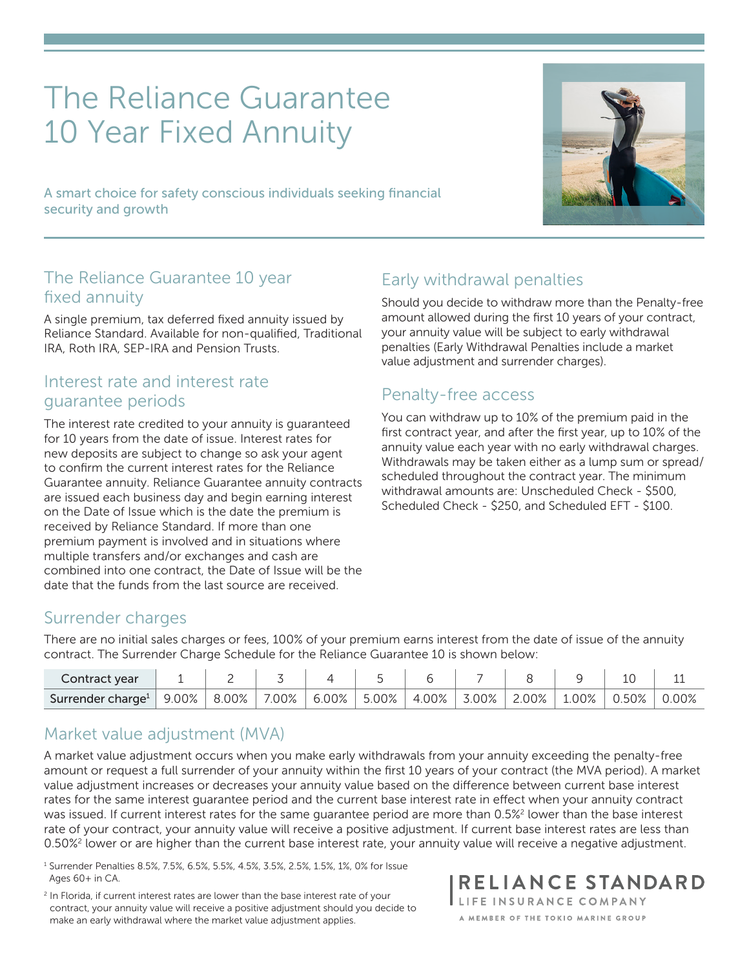# The Reliance Guarantee 10 Year Fixed Annuity

A smart choice for safety conscious individuals seeking financial security and growth

#### The Reliance Guarantee 10 year fixed annuity

A single premium, tax deferred fixed annuity issued by Reliance Standard. Available for non-qualified, Traditional IRA, Roth IRA, SEP-IRA and Pension Trusts.

#### Interest rate and interest rate guarantee periods

The interest rate credited to your annuity is guaranteed for 10 years from the date of issue. Interest rates for new deposits are subject to change so ask your agent to confirm the current interest rates for the Reliance Guarantee annuity. Reliance Guarantee annuity contracts are issued each business day and begin earning interest on the Date of Issue which is the date the premium is received by Reliance Standard. If more than one premium payment is involved and in situations where multiple transfers and/or exchanges and cash are combined into one contract, the Date of Issue will be the date that the funds from the last source are received.

## Early withdrawal penalties

Should you decide to withdraw more than the Penalty-free amount allowed during the first 10 years of your contract, your annuity value will be subject to early withdrawal penalties (Early Withdrawal Penalties include a market value adjustment and surrender charges).

#### Penalty-free access

You can withdraw up to 10% of the premium paid in the first contract year, and after the first year, up to 10% of the annuity value each year with no early withdrawal charges. Withdrawals may be taken either as a lump sum or spread/ scheduled throughout the contract year. The minimum withdrawal amounts are: Unscheduled Check - \$500, Scheduled Check - \$250, and Scheduled EFT - \$100.

#### Surrender charges

There are no initial sales charges or fees, 100% of your premium earns interest from the date of issue of the annuity contract. The Surrender Charge Schedule for the Reliance Guarantee 10 is shown below:

| Contract year                 |            | -                |       |                             |       |       |       |       |      |          |        |
|-------------------------------|------------|------------------|-------|-----------------------------|-------|-------|-------|-------|------|----------|--------|
| Surrender charge <sup>1</sup> | $9.00\%$ ' | $^{\circ}$ 8.00% | 7.00% | $^{\circ}$ 6.00% $_{\circ}$ | 5.00% | 4.00% | 3.00% | 2.00% | .00% | $0.50\%$ | $00\%$ |

#### Market value adjustment (MVA)

A market value adjustment occurs when you make early withdrawals from your annuity exceeding the penalty-free amount or request a full surrender of your annuity within the first 10 years of your contract (the MVA period). A market value adjustment increases or decreases your annuity value based on the difference between current base interest rates for the same interest guarantee period and the current base interest rate in effect when your annuity contract was issued. If current interest rates for the same guarantee period are more than 0.5%<sup>2</sup> lower than the base interest rate of your contract, your annuity value will receive a positive adjustment. If current base interest rates are less than 0.50%<sup>2</sup> lower or are higher than the current base interest rate, your annuity value will receive a negative adjustment.

<sup>1</sup> Surrender Penalties 8.5%, 7.5%, 6.5%, 5.5%, 4.5%, 3.5%, 2.5%, 1.5%, 1%, 0% for Issue Ages 60+ in CA.

<sup>2</sup> In Florida, if current interest rates are lower than the base interest rate of your contract, your annuity value will receive a positive adjustment should you decide to make an early withdrawal where the market value adjustment applies.